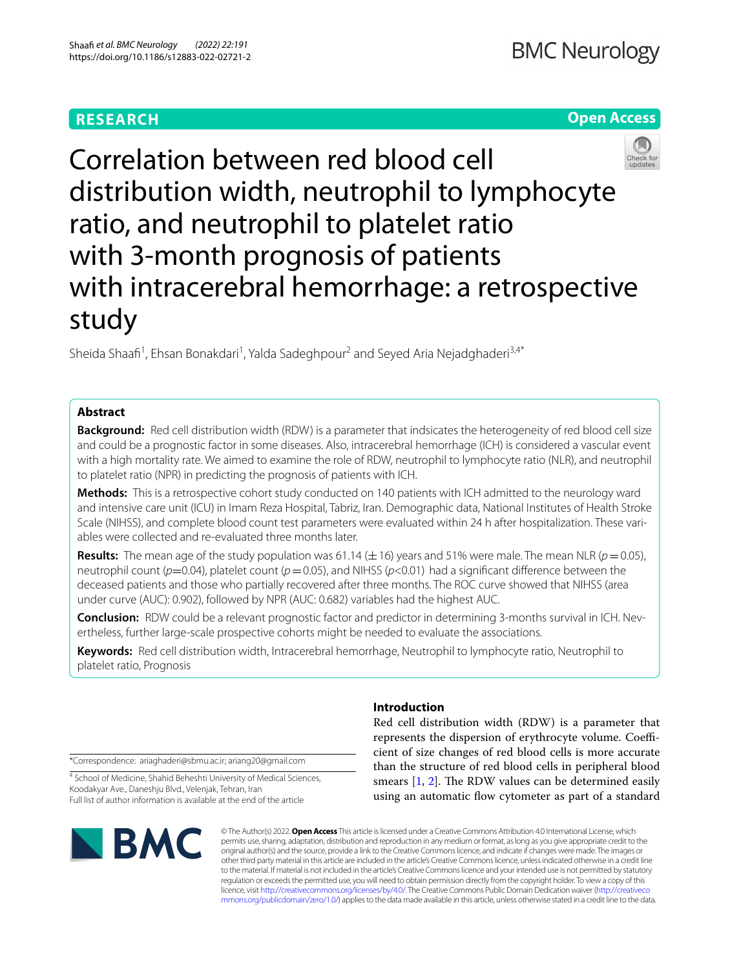# **RESEARCH**

# **Open Access**



Correlation between red blood cell distribution width, neutrophil to lymphocyte ratio, and neutrophil to platelet ratio with 3-month prognosis of patients with intracerebral hemorrhage: a retrospective study

Sheida Shaafi<sup>1</sup>, Ehsan Bonakdari<sup>1</sup>, Yalda Sadeghpour<sup>2</sup> and Seyed Aria Nejadghaderi<sup>3,4\*</sup>

## **Abstract**

**Background:** Red cell distribution width (RDW) is a parameter that indsicates the heterogeneity of red blood cell size and could be a prognostic factor in some diseases. Also, intracerebral hemorrhage (ICH) is considered a vascular event with a high mortality rate. We aimed to examine the role of RDW, neutrophil to lymphocyte ratio (NLR), and neutrophil to platelet ratio (NPR) in predicting the prognosis of patients with ICH.

**Methods:** This is a retrospective cohort study conducted on 140 patients with ICH admitted to the neurology ward and intensive care unit (ICU) in Imam Reza Hospital, Tabriz, Iran. Demographic data, National Institutes of Health Stroke Scale (NIHSS), and complete blood count test parameters were evaluated within 24 h after hospitalization. These variables were collected and re-evaluated three months later.

**Results:** The mean age of the study population was 61.14 ( $\pm$ 16) years and 51% were male. The mean NLR ( $p=0.05$ ), neutrophil count (*p*=0.04), platelet count (*p*=0.05), and NIHSS (*p*<0.01) had a signifcant diference between the deceased patients and those who partially recovered after three months. The ROC curve showed that NIHSS (area under curve (AUC): 0.902), followed by NPR (AUC: 0.682) variables had the highest AUC.

**Conclusion:** RDW could be a relevant prognostic factor and predictor in determining 3-months survival in ICH. Nevertheless, further large-scale prospective cohorts might be needed to evaluate the associations.

**Keywords:** Red cell distribution width, Intracerebral hemorrhage, Neutrophil to lymphocyte ratio, Neutrophil to platelet ratio, Prognosis

\*Correspondence: ariaghaderi@sbmu.ac.ir; ariang20@gmail.com

<sup>4</sup> School of Medicine, Shahid Beheshti University of Medical Sciences, Koodakyar Ave., Daneshju Blvd., Velenjak, Tehran, Iran Full list of author information is available at the end of the article



## **Introduction**

Red cell distribution width (RDW) is a parameter that represents the dispersion of erythrocyte volume. Coefficient of size changes of red blood cells is more accurate than the structure of red blood cells in peripheral blood smears  $[1, 2]$  $[1, 2]$  $[1, 2]$  $[1, 2]$ . The RDW values can be determined easily using an automatic fow cytometer as part of a standard

© The Author(s) 2022. **Open Access** This article is licensed under a Creative Commons Attribution 4.0 International License, which permits use, sharing, adaptation, distribution and reproduction in any medium or format, as long as you give appropriate credit to the original author(s) and the source, provide a link to the Creative Commons licence, and indicate if changes were made. The images or other third party material in this article are included in the article's Creative Commons licence, unless indicated otherwise in a credit line to the material. If material is not included in the article's Creative Commons licence and your intended use is not permitted by statutory regulation or exceeds the permitted use, you will need to obtain permission directly from the copyright holder. To view a copy of this licence, visit [http://creativecommons.org/licenses/by/4.0/.](http://creativecommons.org/licenses/by/4.0/) The Creative Commons Public Domain Dedication waiver ([http://creativeco](http://creativecommons.org/publicdomain/zero/1.0/) [mmons.org/publicdomain/zero/1.0/](http://creativecommons.org/publicdomain/zero/1.0/)) applies to the data made available in this article, unless otherwise stated in a credit line to the data.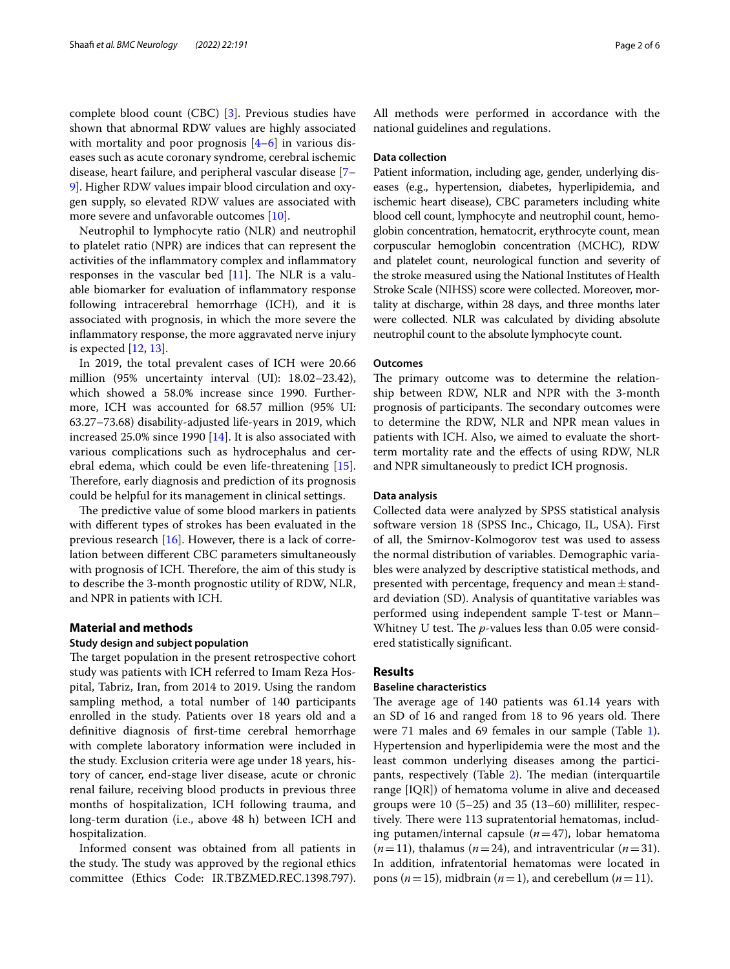complete blood count (CBC) [\[3\]](#page-5-2). Previous studies have shown that abnormal RDW values are highly associated with mortality and poor prognosis  $[4-6]$  $[4-6]$  in various diseases such as acute coronary syndrome, cerebral ischemic disease, heart failure, and peripheral vascular disease [[7–](#page-5-5) [9\]](#page-5-6). Higher RDW values impair blood circulation and oxygen supply, so elevated RDW values are associated with more severe and unfavorable outcomes [[10](#page-5-7)].

Neutrophil to lymphocyte ratio (NLR) and neutrophil to platelet ratio (NPR) are indices that can represent the activities of the infammatory complex and infammatory responses in the vascular bed  $[11]$  $[11]$  $[11]$ . The NLR is a valuable biomarker for evaluation of infammatory response following intracerebral hemorrhage (ICH), and it is associated with prognosis, in which the more severe the infammatory response, the more aggravated nerve injury is expected [[12](#page-5-9), [13\]](#page-5-10).

In 2019, the total prevalent cases of ICH were 20.66 million (95% uncertainty interval (UI): 18.02–23.42), which showed a 58.0% increase since 1990. Furthermore, ICH was accounted for 68.57 million (95% UI: 63.27–73.68) disability-adjusted life-years in 2019, which increased 25.0% since 1990 [\[14](#page-5-11)]. It is also associated with various complications such as hydrocephalus and cerebral edema, which could be even life-threatening [\[15](#page-5-12)]. Therefore, early diagnosis and prediction of its prognosis could be helpful for its management in clinical settings.

The predictive value of some blood markers in patients with diferent types of strokes has been evaluated in the previous research [\[16](#page-5-13)]. However, there is a lack of correlation between diferent CBC parameters simultaneously with prognosis of ICH. Therefore, the aim of this study is to describe the 3-month prognostic utility of RDW, NLR, and NPR in patients with ICH.

### **Material and methods**

### **Study design and subject population**

The target population in the present retrospective cohort study was patients with ICH referred to Imam Reza Hospital, Tabriz, Iran, from 2014 to 2019. Using the random sampling method, a total number of 140 participants enrolled in the study. Patients over 18 years old and a defnitive diagnosis of frst-time cerebral hemorrhage with complete laboratory information were included in the study. Exclusion criteria were age under 18 years, history of cancer, end-stage liver disease, acute or chronic renal failure, receiving blood products in previous three months of hospitalization, ICH following trauma, and long-term duration (i.e., above 48 h) between ICH and hospitalization.

Informed consent was obtained from all patients in the study. The study was approved by the regional ethics committee (Ethics Code: IR.TBZMED.REC.1398.797). All methods were performed in accordance with the national guidelines and regulations.

### **Data collection**

Patient information, including age, gender, underlying diseases (e.g., hypertension, diabetes, hyperlipidemia, and ischemic heart disease), CBC parameters including white blood cell count, lymphocyte and neutrophil count, hemoglobin concentration, hematocrit, erythrocyte count, mean corpuscular hemoglobin concentration (MCHC), RDW and platelet count, neurological function and severity of the stroke measured using the National Institutes of Health Stroke Scale (NIHSS) score were collected. Moreover, mortality at discharge, within 28 days, and three months later were collected. NLR was calculated by dividing absolute neutrophil count to the absolute lymphocyte count.

#### **Outcomes**

The primary outcome was to determine the relationship between RDW, NLR and NPR with the 3-month prognosis of participants. The secondary outcomes were to determine the RDW, NLR and NPR mean values in patients with ICH. Also, we aimed to evaluate the shortterm mortality rate and the efects of using RDW, NLR and NPR simultaneously to predict ICH prognosis.

#### **Data analysis**

Collected data were analyzed by SPSS statistical analysis software version 18 (SPSS Inc., Chicago, IL, USA). First of all, the Smirnov-Kolmogorov test was used to assess the normal distribution of variables. Demographic variables were analyzed by descriptive statistical methods, and presented with percentage, frequency and mean $\pm$ standard deviation (SD). Analysis of quantitative variables was performed using independent sample T-test or Mann– Whitney U test. The *p*-values less than 0.05 were considered statistically signifcant.

### **Results**

### **Baseline characteristics**

The average age of  $140$  patients was  $61.14$  years with an SD of 16 and ranged from 18 to 96 years old. There were 7[1](#page-2-0) males and 69 females in our sample (Table 1). Hypertension and hyperlipidemia were the most and the least common underlying diseases among the partici-pants, respectively (Table [2\)](#page-2-1). The median (interquartile range [IQR]) of hematoma volume in alive and deceased groups were 10 (5–25) and 35 (13–60) milliliter, respectively. There were 113 supratentorial hematomas, including putamen/internal capsule (*n*=47), lobar hematoma  $(n=11)$ , thalamus  $(n=24)$ , and intraventricular  $(n=31)$ . In addition, infratentorial hematomas were located in pons ( $n=15$ ), midbrain ( $n=1$ ), and cerebellum ( $n=11$ ).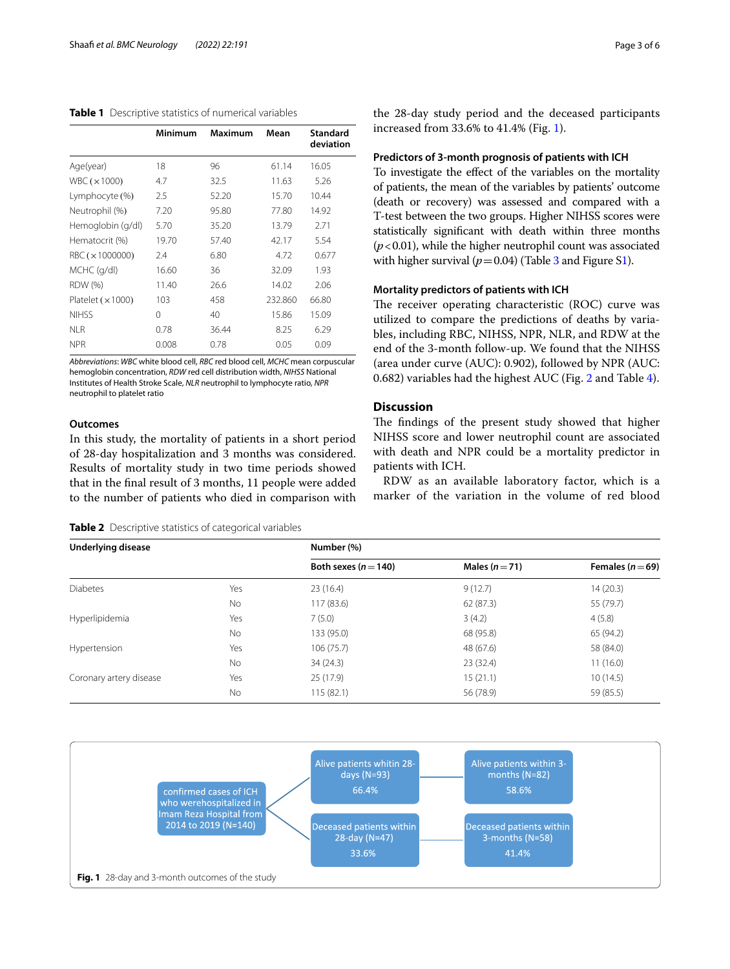<span id="page-2-0"></span>

|                         | Minimum | <b>Maximum</b> | Mean    | <b>Standard</b><br>deviation |
|-------------------------|---------|----------------|---------|------------------------------|
| Age(year)               | 18      | 96             | 61.14   | 16.05                        |
| WBC $(x1000)$           | 4.7     | 32.5           | 11.63   | 5.26                         |
| Lymphocyte (%)          | 2.5     | 52.20          | 15.70   | 10.44                        |
| Neutrophil (%)          | 7.20    | 95.80          | 77.80   | 14.92                        |
| Hemoglobin (g/dl)       | 5.70    | 35.20          | 13.79   | 2.71                         |
| Hematocrit (%)          | 19.70   | 57.40          | 42.17   | 5.54                         |
| RBC ( $\times$ 1000000) | 2.4     | 6.80           | 4.72    | 0.677                        |
| MCHC (g/dl)             | 16.60   | 36             | 32.09   | 1.93                         |
| RDW (%)                 | 11.40   | 26.6           | 14.02   | 2.06                         |
| Platelet $(x 1000)$     | 103     | 458            | 232.860 | 66.80                        |
| <b>NIHSS</b>            | 0       | 40             | 15.86   | 15.09                        |
| NI R                    | 0.78    | 36.44          | 8.25    | 6.29                         |
| <b>NPR</b>              | 0.008   | 0.78           | 0.05    | 0.09                         |
|                         |         |                |         |                              |

*Abbreviations*: *WBC* white blood cell, *RBC* red blood cell, *MCHC* mean corpuscular hemoglobin concentration, *RDW* red cell distribution width, *NIHSS* National Institutes of Health Stroke Scale, *NLR* neutrophil to lymphocyte ratio, *NPR* neutrophil to platelet ratio

### **Outcomes**

In this study, the mortality of patients in a short period of 28-day hospitalization and 3 months was considered. Results of mortality study in two time periods showed that in the fnal result of 3 months, 11 people were added to the number of patients who died in comparison with

<span id="page-2-1"></span>

| <b>Table 2</b> Descriptive statistics of categorical variables |  |  |
|----------------------------------------------------------------|--|--|
|                                                                |  |  |

the 28-day study period and the deceased participants increased from 33.6% to 41.4% (Fig. [1\)](#page-2-2).

### **Predictors of 3‑month prognosis of patients with ICH**

To investigate the efect of the variables on the mortality of patients, the mean of the variables by patients' outcome (death or recovery) was assessed and compared with a T-test between the two groups. Higher NIHSS scores were statistically signifcant with death within three months (*p*<0.01), while the higher neutrophil count was associated with higher survival ( $p=0.04$ ) (Table [3](#page-3-0) and Figure [S1](#page-4-0)).

### **Mortality predictors of patients with ICH**

The receiver operating characteristic (ROC) curve was utilized to compare the predictions of deaths by variables, including RBC, NIHSS, NPR, NLR, and RDW at the end of the 3-month follow-up. We found that the NIHSS (area under curve (AUC): 0.902), followed by NPR (AUC: 0.682) variables had the highest AUC (Fig. [2](#page-4-1) and Table [4\)](#page-4-2).

### **Discussion**

The findings of the present study showed that higher NIHSS score and lower neutrophil count are associated with death and NPR could be a mortality predictor in patients with ICH.

RDW as an available laboratory factor, which is a marker of the variation in the volume of red blood

| <b>Underlying disease</b> |           | Number (%)               |                |                      |  |
|---------------------------|-----------|--------------------------|----------------|----------------------|--|
|                           |           | Both sexes ( $n = 140$ ) | Males $(n=71)$ | Females ( $n = 69$ ) |  |
| <b>Diabetes</b>           | Yes       | 23(16.4)                 | 9(12.7)        | 14 (20.3)            |  |
|                           | No        | 117(83.6)                | 62(87.3)       | 55 (79.7)            |  |
| Hyperlipidemia            | Yes       | 7(5.0)                   | 3(4.2)         | 4(5.8)               |  |
|                           | No        | 133 (95.0)               | 68 (95.8)      | 65 (94.2)            |  |
| Hypertension              | Yes       | 106(75.7)                | 48 (67.6)      | 58 (84.0)            |  |
|                           | <b>No</b> | 34(24.3)                 | 23(32.4)       | 11(16.0)             |  |
| Coronary artery disease   | Yes       | 25(17.9)                 | 15(21.1)       | 10(14.5)             |  |
|                           | No        | 115(82.1)                | 56 (78.9)      | 59 (85.5)            |  |

<span id="page-2-2"></span>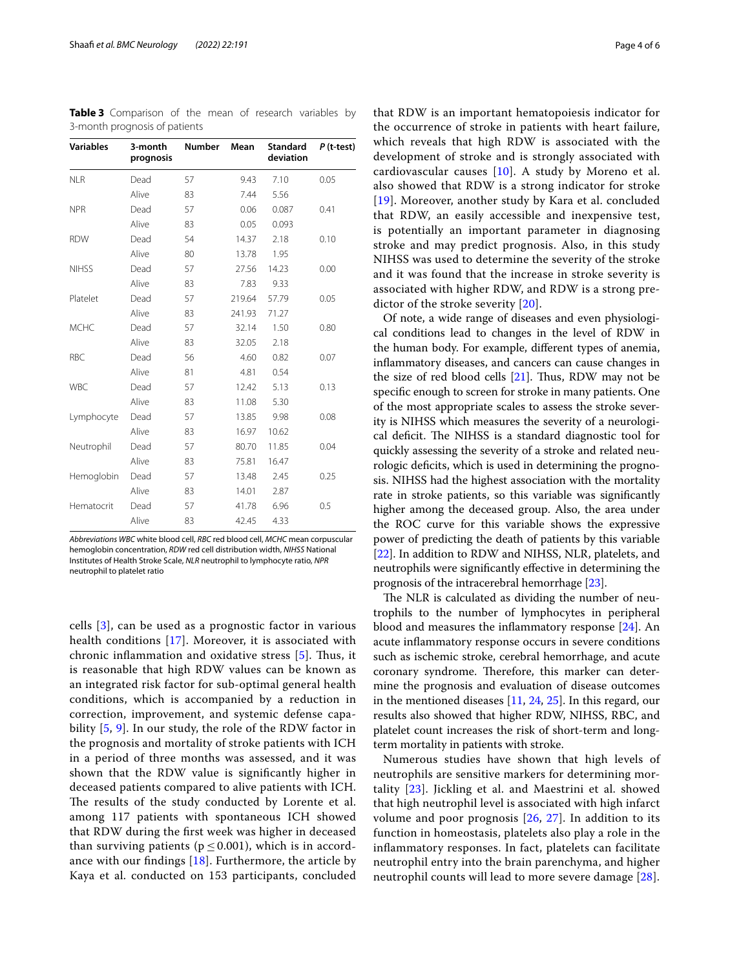<span id="page-3-0"></span>**Table 3** Comparison of the mean of research variables by 3-month prognosis of patients

| <b>Variables</b> | 3-month<br>prognosis | <b>Number</b> | Mean   | <b>Standard</b><br>deviation | $P$ (t-test) |
|------------------|----------------------|---------------|--------|------------------------------|--------------|
| <b>NLR</b>       | Dead                 | 57            | 9.43   | 7.10                         | 0.05         |
|                  | Alive                | 83            | 7.44   | 5.56                         |              |
| <b>NPR</b>       | Dead                 | 57            | 0.06   | 0.087                        | 0.41         |
|                  | Alive                | 83            | 0.05   | 0.093                        |              |
| <b>RDW</b>       | Dead                 | 54            | 14.37  | 2.18                         | 0.10         |
|                  | Alive                | 80            | 13.78  | 1.95                         |              |
| <b>NIHSS</b>     | Dead                 | 57            | 27.56  | 14.23                        | 0.00         |
|                  | Alive                | 83            | 7.83   | 9.33                         |              |
| Platelet         | Dead                 | 57            | 219.64 | 57.79                        | 0.05         |
|                  | Alive                | 83            | 241.93 | 71.27                        |              |
| <b>MCHC</b>      | Dead                 | 57            | 32.14  | 1.50                         | 0.80         |
|                  | Alive                | 83            | 32.05  | 2.18                         |              |
| <b>RBC</b>       | Dead                 | 56            | 4.60   | 0.82                         | 0.07         |
|                  | Alive                | 81            | 4.81   | 0.54                         |              |
| <b>WBC</b>       | Dead                 | 57            | 12.42  | 5.13                         | 0.13         |
|                  | Alive                | 83            | 11.08  | 5.30                         |              |
| Lymphocyte       | Dead                 | 57            | 13.85  | 9.98                         | 0.08         |
|                  | Alive                | 83            | 16.97  | 10.62                        |              |
| Neutrophil       | Dead                 | 57            | 80.70  | 11.85                        | 0.04         |
|                  | Alive                | 83            | 75.81  | 16.47                        |              |
| Hemoglobin       | Dead                 | 57            | 13.48  | 2.45                         | 0.25         |
|                  | Alive                | 83            | 14.01  | 2.87                         |              |
| Hematocrit       | Dead                 | 57            | 41.78  | 6.96                         | 0.5          |
|                  | Alive                | 83            | 42.45  | 4.33                         |              |

*Abbreviations WBC* white blood cell, *RBC* red blood cell, *MCHC* mean corpuscular hemoglobin concentration, *RDW* red cell distribution width, *NIHSS* National Institutes of Health Stroke Scale, *NLR* neutrophil to lymphocyte ratio, *NPR* neutrophil to platelet ratio

cells [[3\]](#page-5-2), can be used as a prognostic factor in various health conditions [\[17](#page-5-14)]. Moreover, it is associated with chronic inflammation and oxidative stress [[5\]](#page-5-15). Thus, it is reasonable that high RDW values can be known as an integrated risk factor for sub-optimal general health conditions, which is accompanied by a reduction in correction, improvement, and systemic defense capability [\[5](#page-5-15), [9\]](#page-5-6). In our study, the role of the RDW factor in the prognosis and mortality of stroke patients with ICH in a period of three months was assessed, and it was shown that the RDW value is signifcantly higher in deceased patients compared to alive patients with ICH. The results of the study conducted by Lorente et al. among 117 patients with spontaneous ICH showed that RDW during the frst week was higher in deceased than surviving patients ( $p \le 0.001$ ), which is in accordance with our findings  $[18]$  $[18]$ . Furthermore, the article by Kaya et al. conducted on 153 participants, concluded

that RDW is an important hematopoiesis indicator for the occurrence of stroke in patients with heart failure, which reveals that high RDW is associated with the development of stroke and is strongly associated with cardiovascular causes [[10\]](#page-5-7). A study by Moreno et al. also showed that RDW is a strong indicator for stroke [[19](#page-5-17)]. Moreover, another study by Kara et al. concluded that RDW, an easily accessible and inexpensive test, is potentially an important parameter in diagnosing stroke and may predict prognosis. Also, in this study NIHSS was used to determine the severity of the stroke and it was found that the increase in stroke severity is associated with higher RDW, and RDW is a strong predictor of the stroke severity [[20\]](#page-5-18).

Of note, a wide range of diseases and even physiological conditions lead to changes in the level of RDW in the human body. For example, diferent types of anemia, infammatory diseases, and cancers can cause changes in the size of red blood cells  $[21]$  $[21]$  $[21]$ . Thus, RDW may not be specifc enough to screen for stroke in many patients. One of the most appropriate scales to assess the stroke severity is NIHSS which measures the severity of a neurological deficit. The NIHSS is a standard diagnostic tool for quickly assessing the severity of a stroke and related neurologic deficits, which is used in determining the prognosis. NIHSS had the highest association with the mortality rate in stroke patients, so this variable was signifcantly higher among the deceased group. Also, the area under the ROC curve for this variable shows the expressive power of predicting the death of patients by this variable [[22\]](#page-5-20). In addition to RDW and NIHSS, NLR, platelets, and neutrophils were signifcantly efective in determining the prognosis of the intracerebral hemorrhage [\[23](#page-5-21)].

The NLR is calculated as dividing the number of neutrophils to the number of lymphocytes in peripheral blood and measures the infammatory response [[24\]](#page-5-22). An acute infammatory response occurs in severe conditions such as ischemic stroke, cerebral hemorrhage, and acute coronary syndrome. Therefore, this marker can determine the prognosis and evaluation of disease outcomes in the mentioned diseases [[11,](#page-5-8) [24](#page-5-22), [25](#page-5-23)]. In this regard, our results also showed that higher RDW, NIHSS, RBC, and platelet count increases the risk of short-term and longterm mortality in patients with stroke.

Numerous studies have shown that high levels of neutrophils are sensitive markers for determining mortality [[23\]](#page-5-21). Jickling et al. and Maestrini et al. showed that high neutrophil level is associated with high infarct volume and poor prognosis [[26](#page-5-24), [27](#page-5-25)]. In addition to its function in homeostasis, platelets also play a role in the infammatory responses. In fact, platelets can facilitate neutrophil entry into the brain parenchyma, and higher neutrophil counts will lead to more severe damage [[28\]](#page-5-26).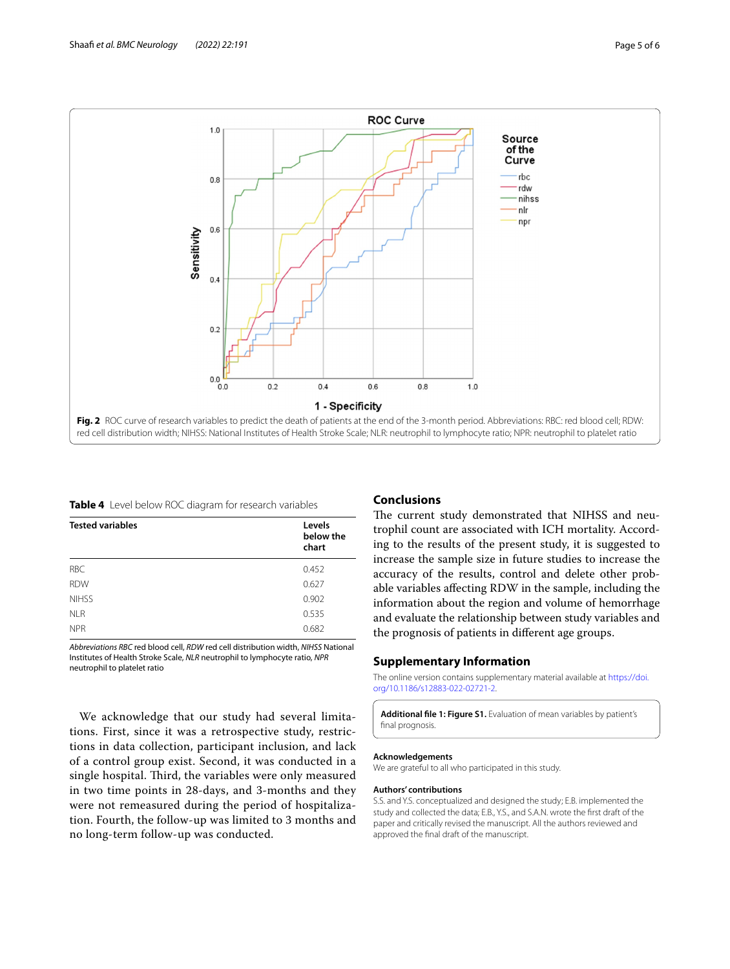

<span id="page-4-2"></span><span id="page-4-1"></span>**Table 4** Level below ROC diagram for research variables

| <b>Tested variables</b> | Levels<br>below the<br>chart |
|-------------------------|------------------------------|
| <b>RBC</b>              | 0.452                        |
| <b>RDW</b>              | 0.627                        |
| <b>NIHSS</b>            | 0.902                        |
| <b>NLR</b>              | 0.535                        |
| <b>NPR</b>              | 0.682                        |

*Abbreviations RBC* red blood cell, *RDW* red cell distribution width, *NIHSS* National Institutes of Health Stroke Scale, *NLR* neutrophil to lymphocyte ratio, *NPR* neutrophil to platelet ratio

We acknowledge that our study had several limitations. First, since it was a retrospective study, restrictions in data collection, participant inclusion, and lack of a control group exist. Second, it was conducted in a single hospital. Third, the variables were only measured in two time points in 28-days, and 3-months and they were not remeasured during the period of hospitalization. Fourth, the follow-up was limited to 3 months and no long-term follow-up was conducted.

### **Conclusions**

The current study demonstrated that NIHSS and neutrophil count are associated with ICH mortality. According to the results of the present study, it is suggested to increase the sample size in future studies to increase the accuracy of the results, control and delete other probable variables afecting RDW in the sample, including the information about the region and volume of hemorrhage and evaluate the relationship between study variables and the prognosis of patients in diferent age groups.

### **Supplementary Information**

The online version contains supplementary material available at [https://doi.](https://doi.org/10.1186/s12883-022-02721-2) [org/10.1186/s12883-022-02721-2](https://doi.org/10.1186/s12883-022-02721-2).

<span id="page-4-0"></span>**Additional fle 1: Figure S1.** Evaluation of mean variables by patient's fnal prognosis.

#### **Acknowledgements**

We are grateful to all who participated in this study.

#### **Authors' contributions**

S.S. and Y.S. conceptualized and designed the study; E.B. implemented the study and collected the data; E.B., Y.S., and S.A.N. wrote the frst draft of the paper and critically revised the manuscript. All the authors reviewed and approved the fnal draft of the manuscript.